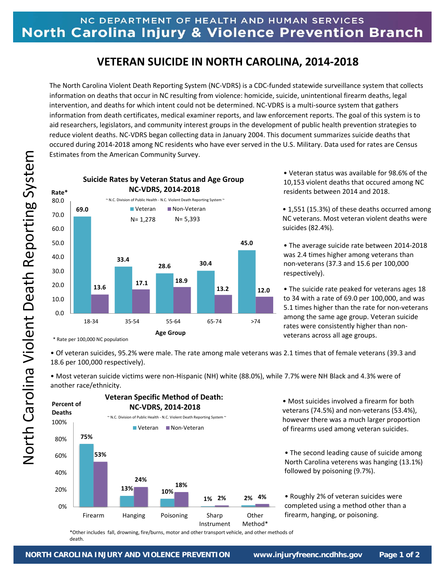## **VETERAN SUICIDE IN NORTH CAROLINA, 2014‐2018**

The North Carolina Violent Death Reporting System (NC‐VDRS) is a CDC‐funded statewide surveillance system that collects information on deaths that occur in NC resulting from violence: homicide, suicide, unintentional firearm deaths, legal intervention, and deaths for which intent could not be determined. NC‐VDRS is a multi‐source system that gathers information from death certificates, medical examiner reports, and law enforcement reports. The goal of this system is to aid researchers, legislators, and community interest groups in the development of public health prevention strategies to reduce violent deaths. NC‐VDRS began collecting data in January 2004. This document summarizes suicide deaths that occured during 2014‐2018 among NC residents who have ever served in the U.S. Military. Data used for rates are Census Estimates from the American Community Survey.



• Veteran status was available for 98.6% of the 10,153 violent deaths that occured among NC residents between 2014 and 2018.

• 1,551 (15.3%) of these deaths occurred among NC veterans. Most veteran violent deaths were suicides (82.4%).

• The average suicide rate between 2014‐2018 was 2.4 times higher among veterans than non‐veterans (37.3 and 15.6 per 100,000 respectively).

• The suicide rate peaked for veterans ages 18 to 34 with a rate of 69.0 per 100,000, and was 5.1 times higher than the rate for non-veterans among the same age group. Veteran suicide rates were consistently higher than non‐ veterans across all age groups.

• Of veteran suicides, 95.2% were male. The rate among male veterans was 2.1 times that of female veterans (39.3 and 18.6 per 100,000 respectively).

• Most veteran suicide victims were non‐Hispanic (NH) white (88.0%), while 7.7% were NH Black and 4.3% were of another race/ethnicity.



• Most suicides involved a firearm for both veterans (74.5%) and non‐veterans (53.4%), however there was a much larger proportion of firearms used among veteran suicides.

• The second leading cause of suicide among North Carolina veterens was hanging (13.1%) followed by poisoning (9.7%).

• Roughly 2% of veteran suicides were completed using a method other than a firearm, hanging, or poisoning.

\*Other includes fall, drowning, fire/burns, motor and other transport vehicle, and other methods of death.